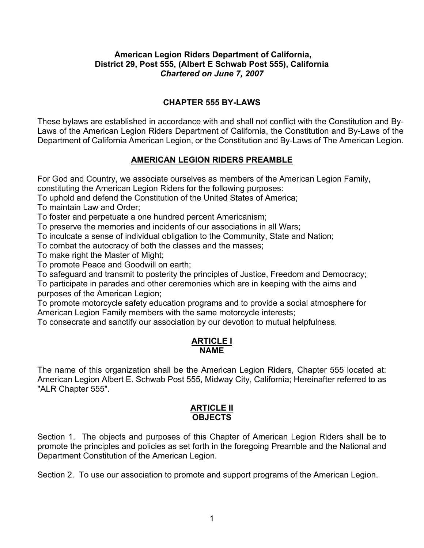# **American Legion Riders Department of California, District 29, Post 555, (Albert E Schwab Post 555), California** *Chartered on June 7, 2007*

# **CHAPTER 555 BY-LAWS**

These bylaws are established in accordance with and shall not conflict with the Constitution and By-Laws of the American Legion Riders Department of California, the Constitution and By-Laws of the Department of California American Legion, or the Constitution and By-Laws of The American Legion.

# **AMERICAN LEGION RIDERS PREAMBLE**

For God and Country, we associate ourselves as members of the American Legion Family, constituting the American Legion Riders for the following purposes:

To uphold and defend the Constitution of the United States of America;

To maintain Law and Order;

To foster and perpetuate a one hundred percent Americanism;

To preserve the memories and incidents of our associations in all Wars;

To inculcate a sense of individual obligation to the Community, State and Nation;

To combat the autocracy of both the classes and the masses;

To make right the Master of Might;

To promote Peace and Goodwill on earth;

To safeguard and transmit to posterity the principles of Justice, Freedom and Democracy;

To participate in parades and other ceremonies which are in keeping with the aims and purposes of the American Legion;

To promote motorcycle safety education programs and to provide a social atmosphere for American Legion Family members with the same motorcycle interests;

To consecrate and sanctify our association by our devotion to mutual helpfulness.

#### **ARTICLE I NAME**

The name of this organization shall be the American Legion Riders, Chapter 555 located at: American Legion Albert E. Schwab Post 555, Midway City, California; Hereinafter referred to as "ALR Chapter 555".

## **ARTICLE II OBJECTS**

Section 1. The objects and purposes of this Chapter of American Legion Riders shall be to promote the principles and policies as set forth in the foregoing Preamble and the National and Department Constitution of the American Legion.

Section 2. To use our association to promote and support programs of the American Legion.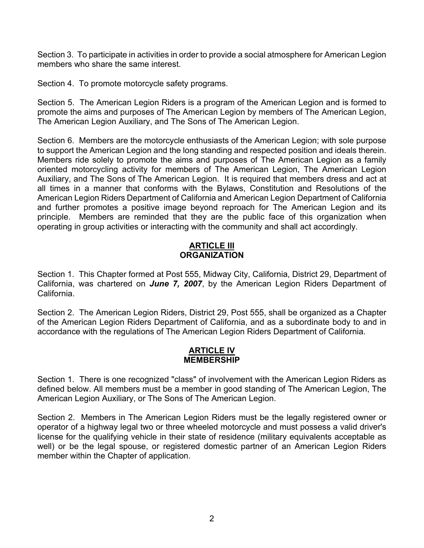Section 3. To participate in activities in order to provide a social atmosphere for American Legion members who share the same interest.

Section 4. To promote motorcycle safety programs.

Section 5. The American Legion Riders is a program of the American Legion and is formed to promote the aims and purposes of The American Legion by members of The American Legion, The American Legion Auxiliary, and The Sons of The American Legion.

Section 6. Members are the motorcycle enthusiasts of the American Legion; with sole purpose to support the American Legion and the long standing and respected position and ideals therein. Members ride solely to promote the aims and purposes of The American Legion as a family oriented motorcycling activity for members of The American Legion, The American Legion Auxiliary, and The Sons of The American Legion. It is required that members dress and act at all times in a manner that conforms with the Bylaws, Constitution and Resolutions of the American Legion Riders Department of California and American Legion Department of California and further promotes a positive image beyond reproach for The American Legion and its principle. Members are reminded that they are the public face of this organization when operating in group activities or interacting with the community and shall act accordingly.

# **ARTICLE III ORGANIZATION**

Section 1. This Chapter formed at Post 555, Midway City, California, District 29, Department of California, was chartered on *June 7, 2007*, by the American Legion Riders Department of California.

Section 2. The American Legion Riders, District 29, Post 555, shall be organized as a Chapter of the American Legion Riders Department of California, and as a subordinate body to and in accordance with the regulations of The American Legion Riders Department of California.

## **ARTICLE IV MEMBERSHIP**

Section 1. There is one recognized "class" of involvement with the American Legion Riders as defined below. All members must be a member in good standing of The American Legion, The American Legion Auxiliary, or The Sons of The American Legion.

Section 2. Members in The American Legion Riders must be the legally registered owner or operator of a highway legal two or three wheeled motorcycle and must possess a valid driver's license for the qualifying vehicle in their state of residence (military equivalents acceptable as well) or be the legal spouse, or registered domestic partner of an American Legion Riders member within the Chapter of application.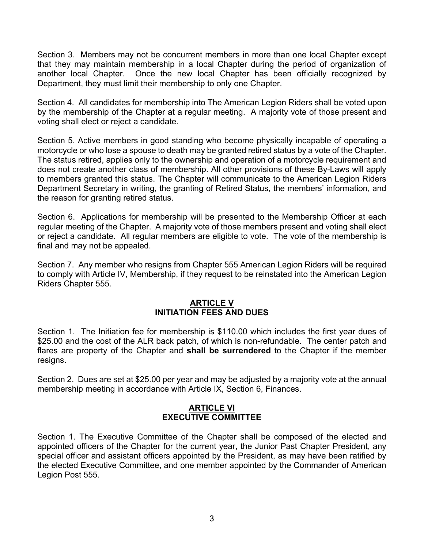Section 3. Members may not be concurrent members in more than one local Chapter except that they may maintain membership in a local Chapter during the period of organization of another local Chapter. Once the new local Chapter has been officially recognized by Department, they must limit their membership to only one Chapter.

Section 4. All candidates for membership into The American Legion Riders shall be voted upon by the membership of the Chapter at a regular meeting. A majority vote of those present and voting shall elect or reject a candidate.

Section 5. Active members in good standing who become physically incapable of operating a motorcycle or who lose a spouse to death may be granted retired status by a vote of the Chapter. The status retired, applies only to the ownership and operation of a motorcycle requirement and does not create another class of membership. All other provisions of these By-Laws will apply to members granted this status. The Chapter will communicate to the American Legion Riders Department Secretary in writing, the granting of Retired Status, the members' information, and the reason for granting retired status.

Section 6. Applications for membership will be presented to the Membership Officer at each regular meeting of the Chapter. A majority vote of those members present and voting shall elect or reject a candidate. All regular members are eligible to vote. The vote of the membership is final and may not be appealed.

Section 7. Any member who resigns from Chapter 555 American Legion Riders will be required to comply with Article IV, Membership, if they request to be reinstated into the American Legion Riders Chapter 555.

# **ARTICLE V INITIATION FEES AND DUES**

Section 1. The Initiation fee for membership is \$110.00 which includes the first year dues of \$25.00 and the cost of the ALR back patch, of which is non-refundable. The center patch and flares are property of the Chapter and **shall be surrendered** to the Chapter if the member resigns.

Section 2. Dues are set at \$25.00 per year and may be adjusted by a majority vote at the annual membership meeting in accordance with Article IX, Section 6, Finances.

## **ARTICLE VI EXECUTIVE COMMITTEE**

Section 1. The Executive Committee of the Chapter shall be composed of the elected and appointed officers of the Chapter for the current year, the Junior Past Chapter President, any special officer and assistant officers appointed by the President, as may have been ratified by the elected Executive Committee, and one member appointed by the Commander of American Legion Post 555.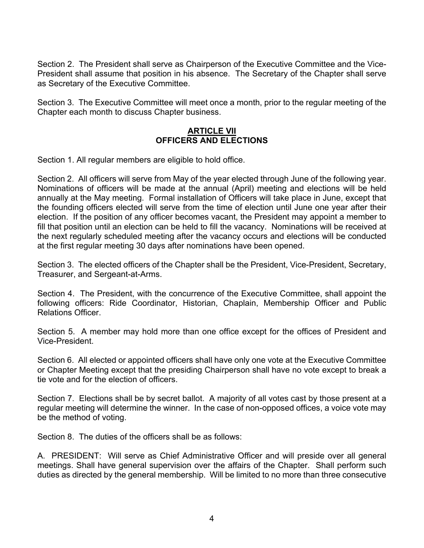Section 2. The President shall serve as Chairperson of the Executive Committee and the Vice-President shall assume that position in his absence. The Secretary of the Chapter shall serve as Secretary of the Executive Committee.

Section 3. The Executive Committee will meet once a month, prior to the regular meeting of the Chapter each month to discuss Chapter business.

# **ARTICLE VII OFFICERS AND ELECTIONS**

Section 1. All regular members are eligible to hold office.

Section 2. All officers will serve from May of the year elected through June of the following year. Nominations of officers will be made at the annual (April) meeting and elections will be held annually at the May meeting. Formal installation of Officers will take place in June, except that the founding officers elected will serve from the time of election until June one year after their election. If the position of any officer becomes vacant, the President may appoint a member to fill that position until an election can be held to fill the vacancy. Nominations will be received at the next regularly scheduled meeting after the vacancy occurs and elections will be conducted at the first regular meeting 30 days after nominations have been opened.

Section 3. The elected officers of the Chapter shall be the President, Vice-President, Secretary, Treasurer, and Sergeant-at-Arms.

Section 4. The President, with the concurrence of the Executive Committee, shall appoint the following officers: Ride Coordinator, Historian, Chaplain, Membership Officer and Public Relations Officer.

Section 5. A member may hold more than one office except for the offices of President and Vice-President.

Section 6. All elected or appointed officers shall have only one vote at the Executive Committee or Chapter Meeting except that the presiding Chairperson shall have no vote except to break a tie vote and for the election of officers.

Section 7. Elections shall be by secret ballot. A majority of all votes cast by those present at a regular meeting will determine the winner. In the case of non-opposed offices, a voice vote may be the method of voting.

Section 8. The duties of the officers shall be as follows:

A. PRESIDENT: Will serve as Chief Administrative Officer and will preside over all general meetings. Shall have general supervision over the affairs of the Chapter. Shall perform such duties as directed by the general membership. Will be limited to no more than three consecutive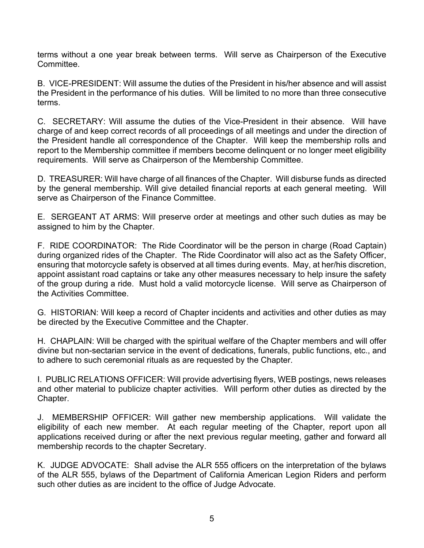terms without a one year break between terms. Will serve as Chairperson of the Executive **Committee** 

B. VICE-PRESIDENT: Will assume the duties of the President in his/her absence and will assist the President in the performance of his duties. Will be limited to no more than three consecutive terms.

C. SECRETARY: Will assume the duties of the Vice-President in their absence. Will have charge of and keep correct records of all proceedings of all meetings and under the direction of the President handle all correspondence of the Chapter. Will keep the membership rolls and report to the Membership committee if members become delinquent or no longer meet eligibility requirements. Will serve as Chairperson of the Membership Committee.

D. TREASURER: Will have charge of all finances of the Chapter. Will disburse funds as directed by the general membership. Will give detailed financial reports at each general meeting. Will serve as Chairperson of the Finance Committee.

E. SERGEANT AT ARMS: Will preserve order at meetings and other such duties as may be assigned to him by the Chapter.

F. RIDE COORDINATOR: The Ride Coordinator will be the person in charge (Road Captain) during organized rides of the Chapter. The Ride Coordinator will also act as the Safety Officer, ensuring that motorcycle safety is observed at all times during events. May, at her/his discretion, appoint assistant road captains or take any other measures necessary to help insure the safety of the group during a ride. Must hold a valid motorcycle license. Will serve as Chairperson of the Activities Committee.

G. HISTORIAN: Will keep a record of Chapter incidents and activities and other duties as may be directed by the Executive Committee and the Chapter.

H. CHAPLAIN: Will be charged with the spiritual welfare of the Chapter members and will offer divine but non-sectarian service in the event of dedications, funerals, public functions, etc., and to adhere to such ceremonial rituals as are requested by the Chapter.

I. PUBLIC RELATIONS OFFICER: Will provide advertising flyers, WEB postings, news releases and other material to publicize chapter activities. Will perform other duties as directed by the Chapter.

J. MEMBERSHIP OFFICER: Will gather new membership applications. Will validate the eligibility of each new member. At each regular meeting of the Chapter, report upon all applications received during or after the next previous regular meeting, gather and forward all membership records to the chapter Secretary.

K. JUDGE ADVOCATE: Shall advise the ALR 555 officers on the interpretation of the bylaws of the ALR 555, bylaws of the Department of California American Legion Riders and perform such other duties as are incident to the office of Judge Advocate.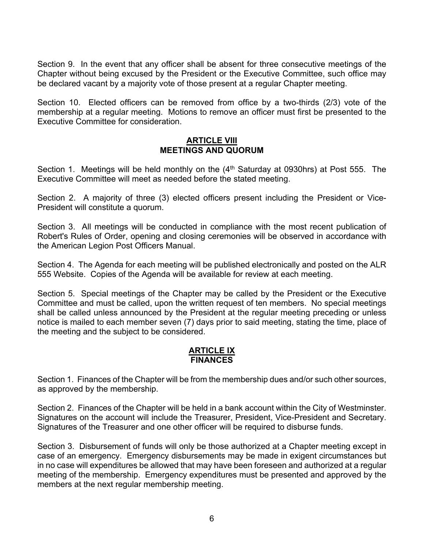Section 9. In the event that any officer shall be absent for three consecutive meetings of the Chapter without being excused by the President or the Executive Committee, such office may be declared vacant by a majority vote of those present at a regular Chapter meeting.

Section 10. Elected officers can be removed from office by a two-thirds (2/3) vote of the membership at a regular meeting. Motions to remove an officer must first be presented to the Executive Committee for consideration.

### **ARTICLE VIII MEETINGS AND QUORUM**

Section 1. Meetings will be held monthly on the  $(4<sup>th</sup>$  Saturday at 0930hrs) at Post 555. The Executive Committee will meet as needed before the stated meeting.

Section 2. A majority of three (3) elected officers present including the President or Vice-President will constitute a quorum.

Section 3. All meetings will be conducted in compliance with the most recent publication of Robert's Rules of Order, opening and closing ceremonies will be observed in accordance with the American Legion Post Officers Manual.

Section 4. The Agenda for each meeting will be published electronically and posted on the ALR 555 Website. Copies of the Agenda will be available for review at each meeting.

Section 5. Special meetings of the Chapter may be called by the President or the Executive Committee and must be called, upon the written request of ten members. No special meetings shall be called unless announced by the President at the regular meeting preceding or unless notice is mailed to each member seven (7) days prior to said meeting, stating the time, place of the meeting and the subject to be considered.

## **ARTICLE IX FINANCES**

Section 1. Finances of the Chapter will be from the membership dues and/or such other sources, as approved by the membership.

Section 2. Finances of the Chapter will be held in a bank account within the City of Westminster. Signatures on the account will include the Treasurer, President, Vice-President and Secretary. Signatures of the Treasurer and one other officer will be required to disburse funds.

Section 3. Disbursement of funds will only be those authorized at a Chapter meeting except in case of an emergency. Emergency disbursements may be made in exigent circumstances but in no case will expenditures be allowed that may have been foreseen and authorized at a regular meeting of the membership. Emergency expenditures must be presented and approved by the members at the next regular membership meeting.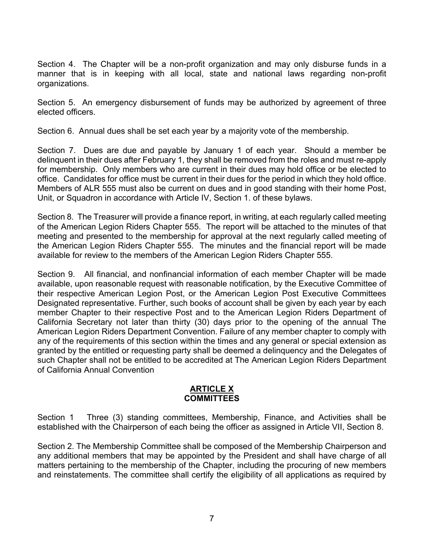Section 4. The Chapter will be a non-profit organization and may only disburse funds in a manner that is in keeping with all local, state and national laws regarding non-profit organizations.

Section 5. An emergency disbursement of funds may be authorized by agreement of three elected officers.

Section 6. Annual dues shall be set each year by a majority vote of the membership.

Section 7. Dues are due and payable by January 1 of each year. Should a member be delinquent in their dues after February 1, they shall be removed from the roles and must re-apply for membership. Only members who are current in their dues may hold office or be elected to office. Candidates for office must be current in their dues for the period in which they hold office. Members of ALR 555 must also be current on dues and in good standing with their home Post, Unit, or Squadron in accordance with Article IV, Section 1. of these bylaws.

Section 8. The Treasurer will provide a finance report, in writing, at each regularly called meeting of the American Legion Riders Chapter 555. The report will be attached to the minutes of that meeting and presented to the membership for approval at the next regularly called meeting of the American Legion Riders Chapter 555. The minutes and the financial report will be made available for review to the members of the American Legion Riders Chapter 555.

Section 9. All financial, and nonfinancial information of each member Chapter will be made available, upon reasonable request with reasonable notification, by the Executive Committee of their respective American Legion Post, or the American Legion Post Executive Committees Designated representative. Further, such books of account shall be given by each year by each member Chapter to their respective Post and to the American Legion Riders Department of California Secretary not later than thirty (30) days prior to the opening of the annual The American Legion Riders Department Convention. Failure of any member chapter to comply with any of the requirements of this section within the times and any general or special extension as granted by the entitled or requesting party shall be deemed a delinquency and the Delegates of such Chapter shall not be entitled to be accredited at The American Legion Riders Department of California Annual Convention

## **ARTICLE X COMMITTEES**

Section 1 Three (3) standing committees, Membership, Finance, and Activities shall be established with the Chairperson of each being the officer as assigned in Article VII, Section 8.

Section 2. The Membership Committee shall be composed of the Membership Chairperson and any additional members that may be appointed by the President and shall have charge of all matters pertaining to the membership of the Chapter, including the procuring of new members and reinstatements. The committee shall certify the eligibility of all applications as required by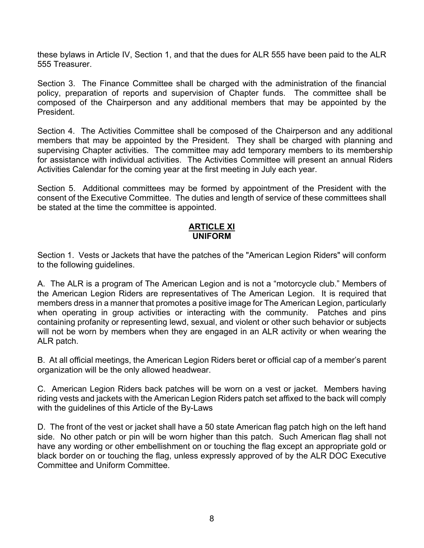these bylaws in Article IV, Section 1, and that the dues for ALR 555 have been paid to the ALR 555 Treasurer.

Section 3. The Finance Committee shall be charged with the administration of the financial policy, preparation of reports and supervision of Chapter funds. The committee shall be composed of the Chairperson and any additional members that may be appointed by the President.

Section 4. The Activities Committee shall be composed of the Chairperson and any additional members that may be appointed by the President. They shall be charged with planning and supervising Chapter activities. The committee may add temporary members to its membership for assistance with individual activities. The Activities Committee will present an annual Riders Activities Calendar for the coming year at the first meeting in July each year.

Section 5. Additional committees may be formed by appointment of the President with the consent of the Executive Committee. The duties and length of service of these committees shall be stated at the time the committee is appointed.

#### **ARTICLE XI UNIFORM**

Section 1. Vests or Jackets that have the patches of the "American Legion Riders" will conform to the following guidelines.

A. The ALR is a program of The American Legion and is not a "motorcycle club." Members of the American Legion Riders are representatives of The American Legion. It is required that members dress in a manner that promotes a positive image for The American Legion, particularly when operating in group activities or interacting with the community. Patches and pins containing profanity or representing lewd, sexual, and violent or other such behavior or subjects will not be worn by members when they are engaged in an ALR activity or when wearing the ALR patch.

B. At all official meetings, the American Legion Riders beret or official cap of a member's parent organization will be the only allowed headwear.

C. American Legion Riders back patches will be worn on a vest or jacket. Members having riding vests and jackets with the American Legion Riders patch set affixed to the back will comply with the guidelines of this Article of the By-Laws

D. The front of the vest or jacket shall have a 50 state American flag patch high on the left hand side. No other patch or pin will be worn higher than this patch. Such American flag shall not have any wording or other embellishment on or touching the flag except an appropriate gold or black border on or touching the flag, unless expressly approved of by the ALR DOC Executive Committee and Uniform Committee.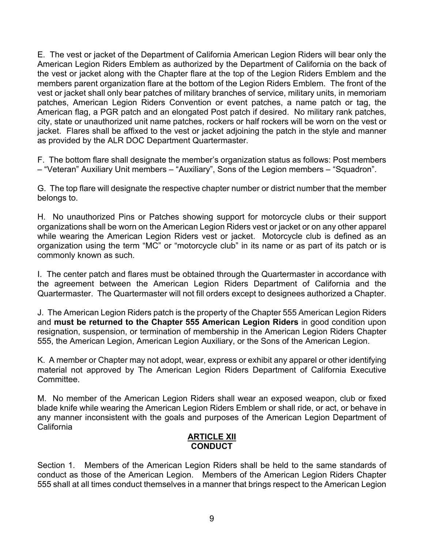E. The vest or jacket of the Department of California American Legion Riders will bear only the American Legion Riders Emblem as authorized by the Department of California on the back of the vest or jacket along with the Chapter flare at the top of the Legion Riders Emblem and the members parent organization flare at the bottom of the Legion Riders Emblem. The front of the vest or jacket shall only bear patches of military branches of service, military units, in memoriam patches, American Legion Riders Convention or event patches, a name patch or tag, the American flag, a PGR patch and an elongated Post patch if desired. No military rank patches, city, state or unauthorized unit name patches, rockers or half rockers will be worn on the vest or jacket. Flares shall be affixed to the vest or jacket adjoining the patch in the style and manner as provided by the ALR DOC Department Quartermaster.

F. The bottom flare shall designate the member's organization status as follows: Post members – "Veteran" Auxiliary Unit members – "Auxiliary", Sons of the Legion members – "Squadron".

G. The top flare will designate the respective chapter number or district number that the member belongs to.

H. No unauthorized Pins or Patches showing support for motorcycle clubs or their support organizations shall be worn on the American Legion Riders vest or jacket or on any other apparel while wearing the American Legion Riders vest or jacket. Motorcycle club is defined as an organization using the term "MC" or "motorcycle club" in its name or as part of its patch or is commonly known as such.

I. The center patch and flares must be obtained through the Quartermaster in accordance with the agreement between the American Legion Riders Department of California and the Quartermaster. The Quartermaster will not fill orders except to designees authorized a Chapter.

J. The American Legion Riders patch is the property of the Chapter 555 American Legion Riders and **must be returned to the Chapter 555 American Legion Riders** in good condition upon resignation, suspension, or termination of membership in the American Legion Riders Chapter 555, the American Legion, American Legion Auxiliary, or the Sons of the American Legion.

K. A member or Chapter may not adopt, wear, express or exhibit any apparel or other identifying material not approved by The American Legion Riders Department of California Executive Committee.

M. No member of the American Legion Riders shall wear an exposed weapon, club or fixed blade knife while wearing the American Legion Riders Emblem or shall ride, or act, or behave in any manner inconsistent with the goals and purposes of the American Legion Department of California

# **ARTICLE XII CONDUCT**

Section 1. Members of the American Legion Riders shall be held to the same standards of conduct as those of the American Legion. Members of the American Legion Riders Chapter 555 shall at all times conduct themselves in a manner that brings respect to the American Legion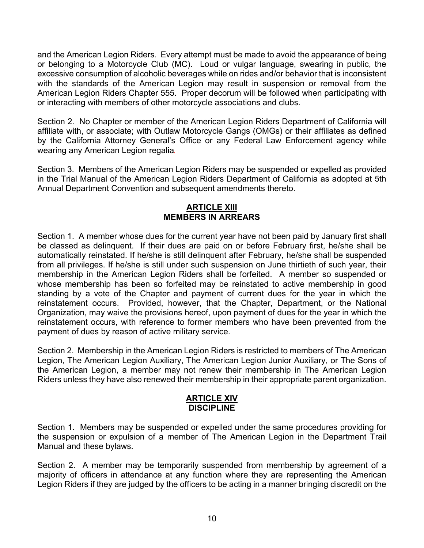and the American Legion Riders. Every attempt must be made to avoid the appearance of being or belonging to a Motorcycle Club (MC). Loud or vulgar language, swearing in public, the excessive consumption of alcoholic beverages while on rides and/or behavior that is inconsistent with the standards of the American Legion may result in suspension or removal from the American Legion Riders Chapter 555. Proper decorum will be followed when participating with or interacting with members of other motorcycle associations and clubs.

Section 2. No Chapter or member of the American Legion Riders Department of California will affiliate with, or associate; with Outlaw Motorcycle Gangs (OMGs) or their affiliates as defined by the California Attorney General's Office or any Federal Law Enforcement agency while wearing any American Legion regalia*.*

Section 3. Members of the American Legion Riders may be suspended or expelled as provided in the Trial Manual of the American Legion Riders Department of California as adopted at 5th Annual Department Convention and subsequent amendments thereto.

# **ARTICLE XIII MEMBERS IN ARREARS**

Section 1. A member whose dues for the current year have not been paid by January first shall be classed as delinquent. If their dues are paid on or before February first, he/she shall be automatically reinstated. If he/she is still delinquent after February, he/she shall be suspended from all privileges. If he/she is still under such suspension on June thirtieth of such year, their membership in the American Legion Riders shall be forfeited. A member so suspended or whose membership has been so forfeited may be reinstated to active membership in good standing by a vote of the Chapter and payment of current dues for the year in which the reinstatement occurs. Provided, however, that the Chapter, Department, or the National Organization, may waive the provisions hereof, upon payment of dues for the year in which the reinstatement occurs, with reference to former members who have been prevented from the payment of dues by reason of active military service.

Section 2. Membership in the American Legion Riders is restricted to members of The American Legion, The American Legion Auxiliary, The American Legion Junior Auxiliary, or The Sons of the American Legion, a member may not renew their membership in The American Legion Riders unless they have also renewed their membership in their appropriate parent organization.

#### **ARTICLE XIV DISCIPLINE**

Section 1. Members may be suspended or expelled under the same procedures providing for the suspension or expulsion of a member of The American Legion in the Department Trail Manual and these bylaws.

Section 2. A member may be temporarily suspended from membership by agreement of a majority of officers in attendance at any function where they are representing the American Legion Riders if they are judged by the officers to be acting in a manner bringing discredit on the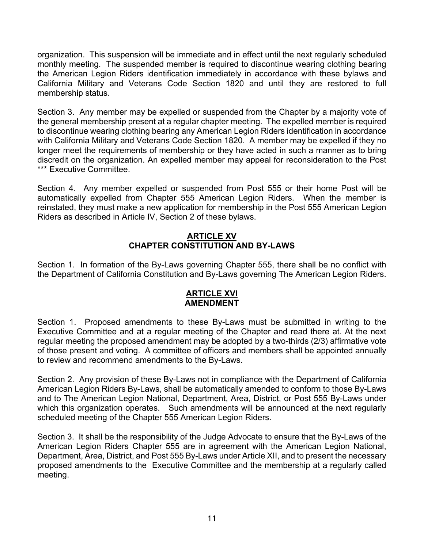organization. This suspension will be immediate and in effect until the next regularly scheduled monthly meeting. The suspended member is required to discontinue wearing clothing bearing the American Legion Riders identification immediately in accordance with these bylaws and California Military and Veterans Code Section 1820 and until they are restored to full membership status.

Section 3. Any member may be expelled or suspended from the Chapter by a majority vote of the general membership present at a regular chapter meeting. The expelled member is required to discontinue wearing clothing bearing any American Legion Riders identification in accordance with California Military and Veterans Code Section 1820. A member may be expelled if they no longer meet the requirements of membership or they have acted in such a manner as to bring discredit on the organization. An expelled member may appeal for reconsideration to the Post \*\*\* Executive Committee.

Section 4. Any member expelled or suspended from Post 555 or their home Post will be automatically expelled from Chapter 555 American Legion Riders. When the member is reinstated, they must make a new application for membership in the Post 555 American Legion Riders as described in Article IV, Section 2 of these bylaws.

# **ARTICLE XV CHAPTER CONSTITUTION AND BY-LAWS**

Section 1. In formation of the By-Laws governing Chapter 555, there shall be no conflict with the Department of California Constitution and By-Laws governing The American Legion Riders.

## **ARTICLE XVI AMENDMENT**

Section 1. Proposed amendments to these By-Laws must be submitted in writing to the Executive Committee and at a regular meeting of the Chapter and read there at. At the next regular meeting the proposed amendment may be adopted by a two-thirds (2/3) affirmative vote of those present and voting. A committee of officers and members shall be appointed annually to review and recommend amendments to the By-Laws.

Section 2. Any provision of these By-Laws not in compliance with the Department of California American Legion Riders By-Laws, shall be automatically amended to conform to those By-Laws and to The American Legion National, Department, Area, District, or Post 555 By-Laws under which this organization operates. Such amendments will be announced at the next regularly scheduled meeting of the Chapter 555 American Legion Riders.

Section 3. It shall be the responsibility of the Judge Advocate to ensure that the By-Laws of the American Legion Riders Chapter 555 are in agreement with the American Legion National, Department, Area, District, and Post 555 By-Laws under Article XII, and to present the necessary proposed amendments to the Executive Committee and the membership at a regularly called meeting.